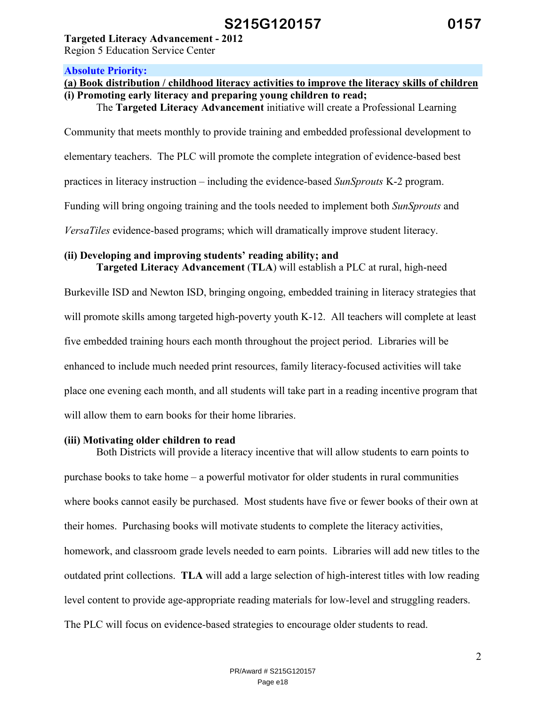**Targeted Literacy Advancement - 2012** 

Region 5 Education Service Center

#### **Absolute Priority:**

## **(a) Book distribution / childhood literacy activities to improve the literacy skills of children (i) Promoting early literacy and preparing young children to read;**

The **Targeted Literacy Advancement** initiative will create a Professional Learning

Community that meets monthly to provide training and embedded professional development to

elementary teachers. The PLC will promote the complete integration of evidence-based best

practices in literacy instruction – including the evidence-based *SunSprouts* K-2 program.

Funding will bring ongoing training and the tools needed to implement both *SunSprouts* and

*VersaTiles* evidence-based programs; which will dramatically improve student literacy.

#### **(ii) Developing and improving students' reading ability; and Targeted Literacy Advancement** (**TLA**) will establish a PLC at rural, high-need

Burkeville ISD and Newton ISD, bringing ongoing, embedded training in literacy strategies that will promote skills among targeted high-poverty youth K-12. All teachers will complete at least five embedded training hours each month throughout the project period. Libraries will be enhanced to include much needed print resources, family literacy-focused activities will take place one evening each month, and all students will take part in a reading incentive program that will allow them to earn books for their home libraries.

### **(iii) Motivating older children to read**

 Both Districts will provide a literacy incentive that will allow students to earn points to purchase books to take home – a powerful motivator for older students in rural communities where books cannot easily be purchased. Most students have five or fewer books of their own at their homes. Purchasing books will motivate students to complete the literacy activities, homework, and classroom grade levels needed to earn points. Libraries will add new titles to the outdated print collections. **TLA** will add a large selection of high-interest titles with low reading level content to provide age-appropriate reading materials for low-level and struggling readers. The PLC will focus on evidence-based strategies to encourage older students to read.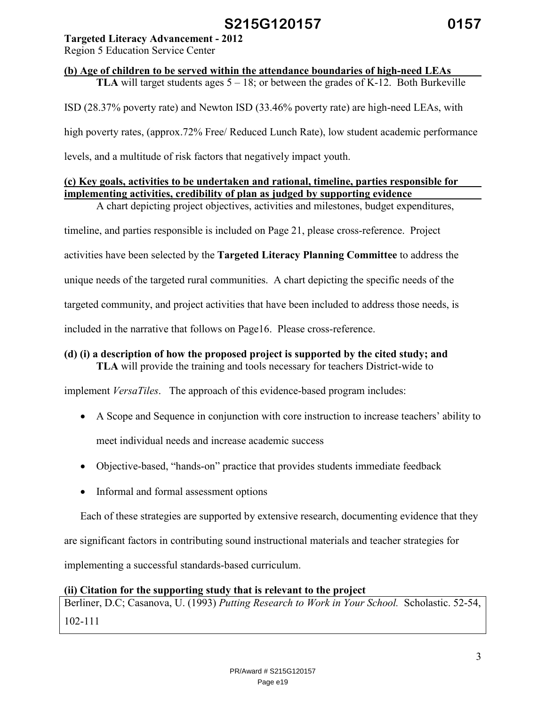### **Targeted Literacy Advancement - 2012**

Region 5 Education Service Center

# **(b) Age of children to be served within the attendance boundaries of high-need LEAs**

**TLA** will target students ages  $5 - 18$ ; or between the grades of K-12. Both Burkeville

ISD (28.37% poverty rate) and Newton ISD (33.46% poverty rate) are high-need LEAs, with

high poverty rates, (approx.72% Free/ Reduced Lunch Rate), low student academic performance

levels, and a multitude of risk factors that negatively impact youth.

## **(c) Key goals, activities to be undertaken and rational, timeline, parties responsible for implementing activities, credibility of plan as judged by supporting evidence**

A chart depicting project objectives, activities and milestones, budget expenditures,

timeline, and parties responsible is included on Page 21, please cross-reference. Project

activities have been selected by the **Targeted Literacy Planning Committee** to address the

unique needs of the targeted rural communities. A chart depicting the specific needs of the

targeted community, and project activities that have been included to address those needs, is

included in the narrative that follows on Page16. Please cross-reference.

#### **(d) (i) a description of how the proposed project is supported by the cited study; and TLA** will provide the training and tools necessary for teachers District-wide to

implement *VersaTiles*. The approach of this evidence-based program includes:

- A Scope and Sequence in conjunction with core instruction to increase teachers' ability to meet individual needs and increase academic success
- Objective-based, "hands-on" practice that provides students immediate feedback
- Informal and formal assessment options

Each of these strategies are supported by extensive research, documenting evidence that they

are significant factors in contributing sound instructional materials and teacher strategies for

implementing a successful standards-based curriculum.

### **(ii) Citation for the supporting study that is relevant to the project**

Berliner, D.C; Casanova, U. (1993) *Putting Research to Work in Your School.* Scholastic. 52-54, 102-111

> PR/Award # S215G120157 Page e19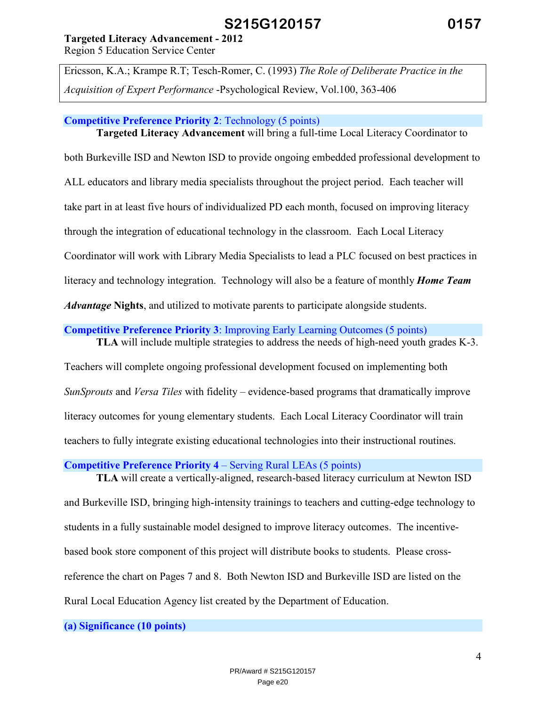### **Targeted Literacy Advancement - 2012**

Region 5 Education Service Center

Ericsson, K.A.; Krampe R.T; Tesch-Romer, C. (1993) *The Role of Deliberate Practice in the Acquisition of Expert Performance* -Psychological Review, Vol.100, 363-406

### **Competitive Preference Priority 2**: Technology (5 points)

**Targeted Literacy Advancement** will bring a full-time Local Literacy Coordinator to both Burkeville ISD and Newton ISD to provide ongoing embedded professional development to ALL educators and library media specialists throughout the project period. Each teacher will take part in at least five hours of individualized PD each month, focused on improving literacy through the integration of educational technology in the classroom. Each Local Literacy Coordinator will work with Library Media Specialists to lead a PLC focused on best practices in literacy and technology integration. Technology will also be a feature of monthly *Home Team Advantage* **Nights**, and utilized to motivate parents to participate alongside students.

### **Competitive Preference Priority 3**: Improving Early Learning Outcomes (5 points)

 **TLA** will include multiple strategies to address the needs of high-need youth grades K-3.

Teachers will complete ongoing professional development focused on implementing both *SunSprouts* and *Versa Tiles* with fidelity – evidence-based programs that dramatically improve literacy outcomes for young elementary students. Each Local Literacy Coordinator will train teachers to fully integrate existing educational technologies into their instructional routines.

**Competitive Preference Priority 4** – Serving Rural LEAs (5 points)

 **TLA** will create a vertically-aligned, research-based literacy curriculum at Newton ISD and Burkeville ISD, bringing high-intensity trainings to teachers and cutting-edge technology to students in a fully sustainable model designed to improve literacy outcomes. The incentivebased book store component of this project will distribute books to students. Please crossreference the chart on Pages 7 and 8. Both Newton ISD and Burkeville ISD are listed on the Rural Local Education Agency list created by the Department of Education.

**(a) Significance (10 points)**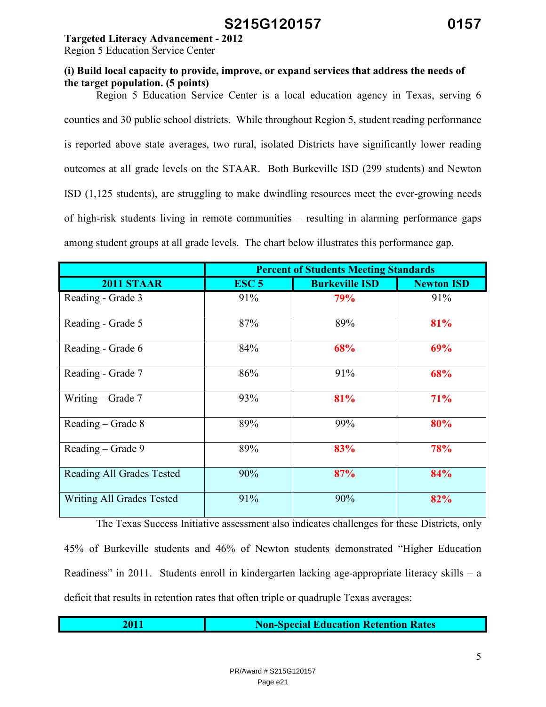### **Targeted Literacy Advancement - 2012**

Region 5 Education Service Center

### **(i) Build local capacity to provide, improve, or expand services that address the needs of the target population. (5 points)**

 Region 5 Education Service Center is a local education agency in Texas, serving 6 counties and 30 public school districts. While throughout Region 5, student reading performance is reported above state averages, two rural, isolated Districts have significantly lower reading outcomes at all grade levels on the STAAR. Both Burkeville ISD (299 students) and Newton ISD (1,125 students), are struggling to make dwindling resources meet the ever-growing needs of high-risk students living in remote communities – resulting in alarming performance gaps among student groups at all grade levels. The chart below illustrates this performance gap.

|                                  | <b>Percent of Students Meeting Standards</b> |                       |                   |  |
|----------------------------------|----------------------------------------------|-----------------------|-------------------|--|
| <b>2011 STAAR</b>                | ESC <sub>5</sub>                             | <b>Burkeville ISD</b> | <b>Newton ISD</b> |  |
| Reading - Grade 3                | 91%                                          | 79%                   | 91%               |  |
| Reading - Grade 5                | 87%                                          | 89%                   | 81%               |  |
| Reading - Grade 6                | 84%                                          | 68%                   | 69%               |  |
| Reading - Grade 7                | 86%                                          | 91%                   | 68%               |  |
| Writing – Grade $7$              | 93%                                          | 81%                   | 71%               |  |
| Reading – Grade 8                | 89%                                          | 99%                   | 80%               |  |
| Reading – Grade 9                | 89%                                          | 83%                   | 78%               |  |
| <b>Reading All Grades Tested</b> | 90%                                          | 87%                   | 84%               |  |
| Writing All Grades Tested        | 91%                                          | 90%                   | 82%               |  |

The Texas Success Initiative assessment also indicates challenges for these Districts, only 45% of Burkeville students and 46% of Newton students demonstrated "Higher Education Readiness" in 2011. Students enroll in kindergarten lacking age-appropriate literacy skills – a deficit that results in retention rates that often triple or quadruple Texas averages:

| <b>Non-Special Education Retention Rates</b> |
|----------------------------------------------|
|                                              |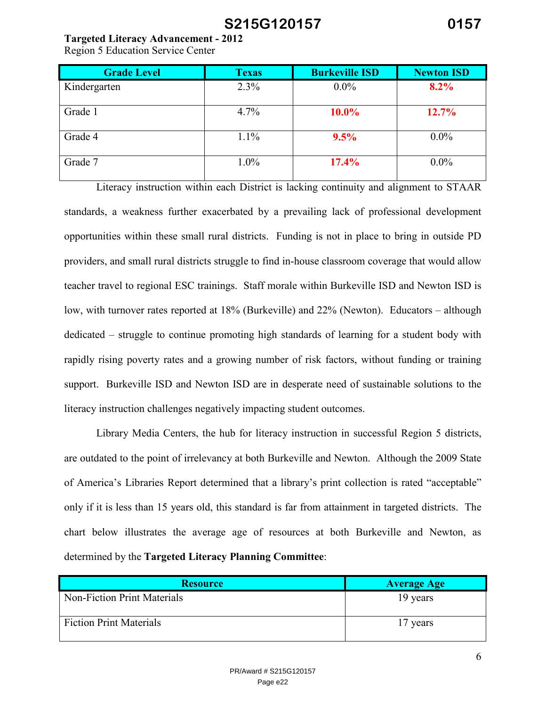### **Targeted Literacy Advancement - 2012**

Region 5 Education Service Center

| <b>Grade Level</b> | <b>Texas</b> | <b>Burkeville ISD</b> | <b>Newton ISD</b> |
|--------------------|--------------|-----------------------|-------------------|
| Kindergarten       | 2.3%         | $0.0\%$               | 8.2%              |
| Grade 1            | 4.7%         | 10.0%                 | 12.7%             |
| Grade 4            | 1.1%         | 9.5%                  | $0.0\%$           |
| Grade 7            | $1.0\%$      | 17.4%                 | $0.0\%$           |

Literacy instruction within each District is lacking continuity and alignment to STAAR standards, a weakness further exacerbated by a prevailing lack of professional development opportunities within these small rural districts. Funding is not in place to bring in outside PD providers, and small rural districts struggle to find in-house classroom coverage that would allow teacher travel to regional ESC trainings. Staff morale within Burkeville ISD and Newton ISD is low, with turnover rates reported at 18% (Burkeville) and 22% (Newton). Educators – although dedicated – struggle to continue promoting high standards of learning for a student body with rapidly rising poverty rates and a growing number of risk factors, without funding or training support. Burkeville ISD and Newton ISD are in desperate need of sustainable solutions to the literacy instruction challenges negatively impacting student outcomes.

Library Media Centers, the hub for literacy instruction in successful Region 5 districts, are outdated to the point of irrelevancy at both Burkeville and Newton. Although the 2009 State of America's Libraries Report determined that a library's print collection is rated "acceptable" only if it is less than 15 years old, this standard is far from attainment in targeted districts. The chart below illustrates the average age of resources at both Burkeville and Newton, as determined by the **Targeted Literacy Planning Committee**:

| <b>Resource</b>                | <b>Average Age</b> |
|--------------------------------|--------------------|
| Non-Fiction Print Materials    | 19 years           |
| <b>Fiction Print Materials</b> | 17 years           |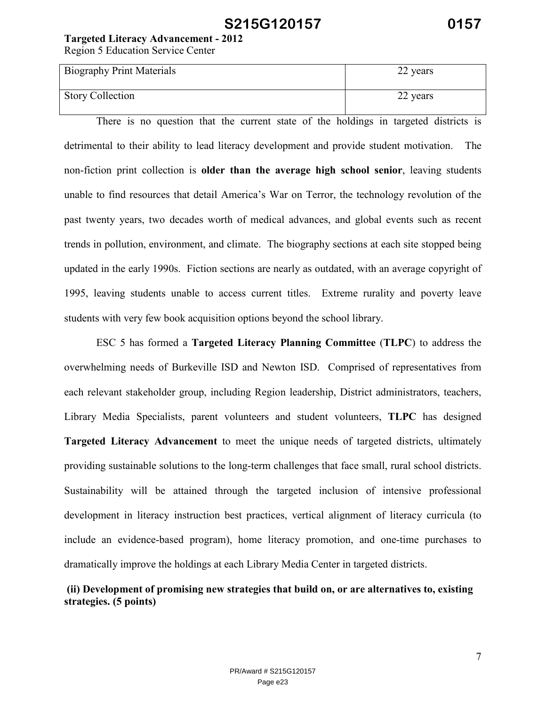**Targeted Literacy Advancement - 2012** 

Region 5 Education Service Center

| <b>Biography Print Materials</b> | 22 years |
|----------------------------------|----------|
| <b>Story Collection</b>          | 22 years |

 There is no question that the current state of the holdings in targeted districts is detrimental to their ability to lead literacy development and provide student motivation. The non-fiction print collection is **older than the average high school senior**, leaving students unable to find resources that detail America's War on Terror, the technology revolution of the past twenty years, two decades worth of medical advances, and global events such as recent trends in pollution, environment, and climate. The biography sections at each site stopped being updated in the early 1990s. Fiction sections are nearly as outdated, with an average copyright of 1995, leaving students unable to access current titles. Extreme rurality and poverty leave students with very few book acquisition options beyond the school library.

 ESC 5 has formed a **Targeted Literacy Planning Committee** (**TLPC**) to address the overwhelming needs of Burkeville ISD and Newton ISD. Comprised of representatives from each relevant stakeholder group, including Region leadership, District administrators, teachers, Library Media Specialists, parent volunteers and student volunteers, **TLPC** has designed **Targeted Literacy Advancement** to meet the unique needs of targeted districts, ultimately providing sustainable solutions to the long-term challenges that face small, rural school districts. Sustainability will be attained through the targeted inclusion of intensive professional development in literacy instruction best practices, vertical alignment of literacy curricula (to include an evidence-based program), home literacy promotion, and one-time purchases to dramatically improve the holdings at each Library Media Center in targeted districts.

## **(ii) Development of promising new strategies that build on, or are alternatives to, existing strategies. (5 points)**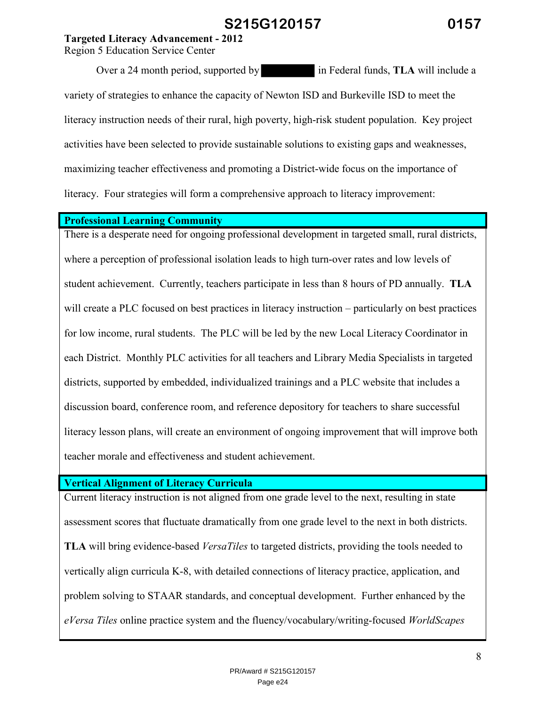**Targeted Literacy Advancement - 2012** 

Region 5 Education Service Center

Over a 24 month period, supported by in Federal funds, **TLA** will include a variety of strategies to enhance the capacity of Newton ISD and Burkeville ISD to meet the literacy instruction needs of their rural, high poverty, high-risk student population. Key project activities have been selected to provide sustainable solutions to existing gaps and weaknesses, maximizing teacher effectiveness and promoting a District-wide focus on the importance of literacy. Four strategies will form a comprehensive approach to literacy improvement:

#### **Professional Learning Community**

There is a desperate need for ongoing professional development in targeted small, rural districts, where a perception of professional isolation leads to high turn-over rates and low levels of student achievement. Currently, teachers participate in less than 8 hours of PD annually. **TLA**  will create a PLC focused on best practices in literacy instruction – particularly on best practices for low income, rural students. The PLC will be led by the new Local Literacy Coordinator in each District. Monthly PLC activities for all teachers and Library Media Specialists in targeted districts, supported by embedded, individualized trainings and a PLC website that includes a discussion board, conference room, and reference depository for teachers to share successful literacy lesson plans, will create an environment of ongoing improvement that will improve both teacher morale and effectiveness and student achievement.

### **Vertical Alignment of Literacy Curricula**

Current literacy instruction is not aligned from one grade level to the next, resulting in state assessment scores that fluctuate dramatically from one grade level to the next in both districts. **TLA** will bring evidence-based *VersaTiles* to targeted districts, providing the tools needed to vertically align curricula K-8, with detailed connections of literacy practice, application, and problem solving to STAAR standards, and conceptual development. Further enhanced by the *eVersa Tiles* online practice system and the fluency/vocabulary/writing-focused *WorldScapes*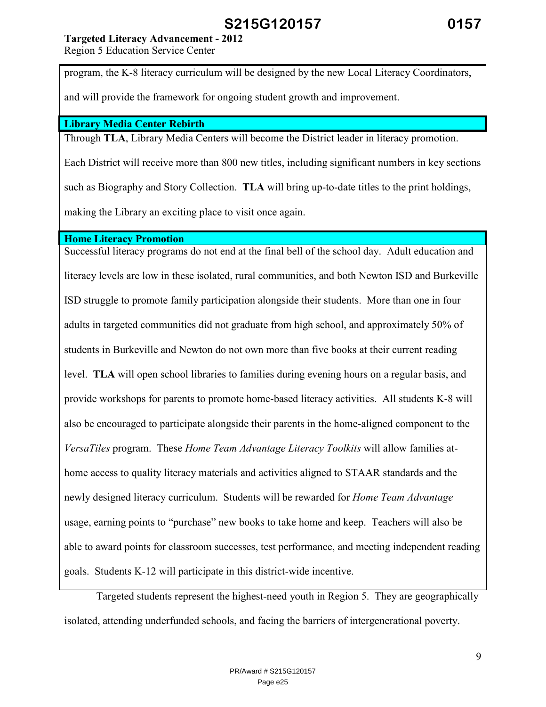## **Targeted Literacy Advancement - 2012**

Region 5 Education Service Center

program, the K-8 literacy curriculum will be designed by the new Local Literacy Coordinators,

and will provide the framework for ongoing student growth and improvement.

### **Library Media Center Rebirth**

Through **TLA**, Library Media Centers will become the District leader in literacy promotion. Each District will receive more than 800 new titles, including significant numbers in key sections such as Biography and Story Collection. **TLA** will bring up-to-date titles to the print holdings, making the Library an exciting place to visit once again.

### **Home Literacy Promotion**

Successful literacy programs do not end at the final bell of the school day. Adult education and literacy levels are low in these isolated, rural communities, and both Newton ISD and Burkeville ISD struggle to promote family participation alongside their students. More than one in four adults in targeted communities did not graduate from high school, and approximately 50% of students in Burkeville and Newton do not own more than five books at their current reading level. **TLA** will open school libraries to families during evening hours on a regular basis, and provide workshops for parents to promote home-based literacy activities. All students K-8 will also be encouraged to participate alongside their parents in the home-aligned component to the *VersaTiles* program. These *Home Team Advantage Literacy Toolkits* will allow families athome access to quality literacy materials and activities aligned to STAAR standards and the newly designed literacy curriculum. Students will be rewarded for *Home Team Advantage*  usage, earning points to "purchase" new books to take home and keep. Teachers will also be able to award points for classroom successes, test performance, and meeting independent reading goals. Students K-12 will participate in this district-wide incentive.

 Targeted students represent the highest-need youth in Region 5. They are geographically isolated, attending underfunded schools, and facing the barriers of intergenerational poverty.

9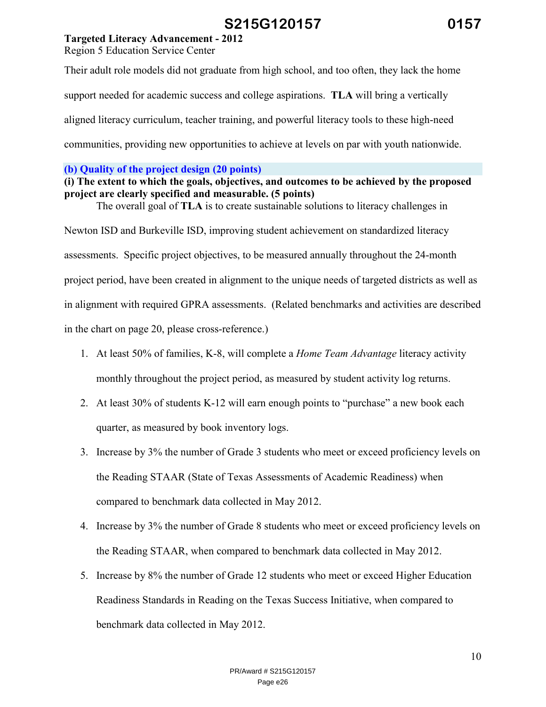## **Targeted Literacy Advancement - 2012**

Region 5 Education Service Center

Their adult role models did not graduate from high school, and too often, they lack the home support needed for academic success and college aspirations. **TLA** will bring a vertically aligned literacy curriculum, teacher training, and powerful literacy tools to these high-need communities, providing new opportunities to achieve at levels on par with youth nationwide.

### **(b) Quality of the project design (20 points)**

## **(i) The extent to which the goals, objectives, and outcomes to be achieved by the proposed project are clearly specified and measurable. (5 points)**

The overall goal of **TLA** is to create sustainable solutions to literacy challenges in

Newton ISD and Burkeville ISD, improving student achievement on standardized literacy assessments. Specific project objectives, to be measured annually throughout the 24-month project period, have been created in alignment to the unique needs of targeted districts as well as in alignment with required GPRA assessments. (Related benchmarks and activities are described in the chart on page 20, please cross-reference.)

- 1. At least 50% of families, K-8, will complete a *Home Team Advantage* literacy activity monthly throughout the project period, as measured by student activity log returns.
- 2. At least 30% of students K-12 will earn enough points to "purchase" a new book each quarter, as measured by book inventory logs.
- 3. Increase by 3% the number of Grade 3 students who meet or exceed proficiency levels on the Reading STAAR (State of Texas Assessments of Academic Readiness) when compared to benchmark data collected in May 2012.
- 4. Increase by 3% the number of Grade 8 students who meet or exceed proficiency levels on the Reading STAAR, when compared to benchmark data collected in May 2012.
- 5. Increase by 8% the number of Grade 12 students who meet or exceed Higher Education Readiness Standards in Reading on the Texas Success Initiative, when compared to benchmark data collected in May 2012.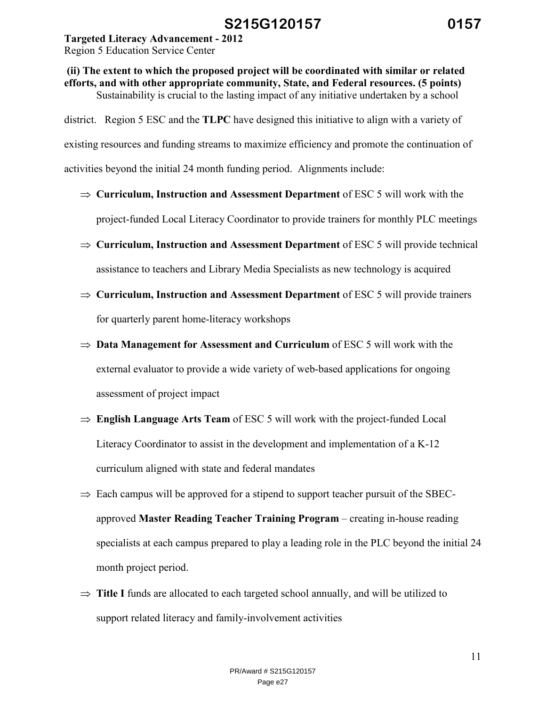### **Targeted Literacy Advancement - 2012**

Region 5 Education Service Center

# **(ii) The extent to which the proposed project will be coordinated with similar or related efforts, and with other appropriate community, State, and Federal resources. (5 points)**  Sustainability is crucial to the lasting impact of any initiative undertaken by a school

district. Region 5 ESC and the **TLPC** have designed this initiative to align with a variety of existing resources and funding streams to maximize efficiency and promote the continuation of activities beyond the initial 24 month funding period. Alignments include:

- ⇒ **Curriculum, Instruction and Assessment Department** of ESC 5 will work with the project-funded Local Literacy Coordinator to provide trainers for monthly PLC meetings
- ⇒ **Curriculum, Instruction and Assessment Department** of ESC 5 will provide technical assistance to teachers and Library Media Specialists as new technology is acquired
- ⇒ **Curriculum, Instruction and Assessment Department** of ESC 5 will provide trainers for quarterly parent home-literacy workshops
- ⇒ **Data Management for Assessment and Curriculum** of ESC 5 will work with the external evaluator to provide a wide variety of web-based applications for ongoing assessment of project impact
- ⇒ **English Language Arts Team** of ESC 5 will work with the project-funded Local Literacy Coordinator to assist in the development and implementation of a K-12 curriculum aligned with state and federal mandates
- $\Rightarrow$  Each campus will be approved for a stipend to support teacher pursuit of the SBECapproved **Master Reading Teacher Training Program** – creating in-house reading specialists at each campus prepared to play a leading role in the PLC beyond the initial 24 month project period.
- ⇒ **Title I** funds are allocated to each targeted school annually, and will be utilized to support related literacy and family-involvement activities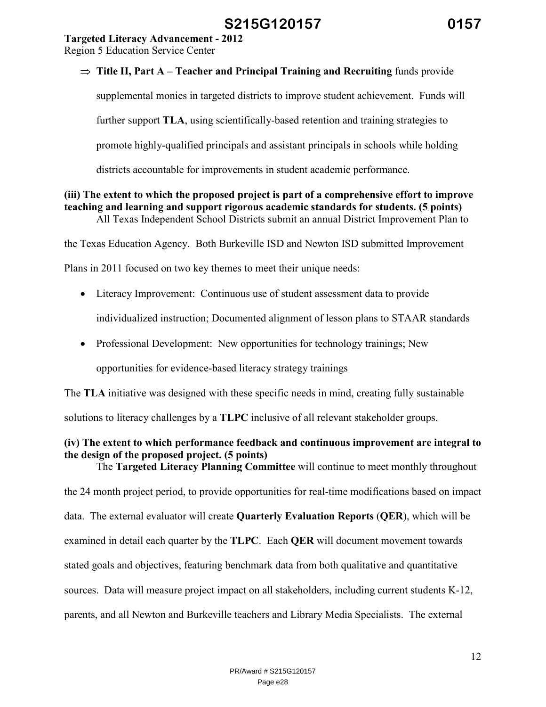## **Targeted Literacy Advancement - 2012**

Region 5 Education Service Center

## ⇒ **Title II, Part A – Teacher and Principal Training and Recruiting** funds provide

supplemental monies in targeted districts to improve student achievement. Funds will

further support **TLA**, using scientifically-based retention and training strategies to

promote highly-qualified principals and assistant principals in schools while holding

districts accountable for improvements in student academic performance.

# **(iii) The extent to which the proposed project is part of a comprehensive effort to improve teaching and learning and support rigorous academic standards for students. (5 points)**

All Texas Independent School Districts submit an annual District Improvement Plan to

the Texas Education Agency. Both Burkeville ISD and Newton ISD submitted Improvement

Plans in 2011 focused on two key themes to meet their unique needs:

- Literacy Improvement: Continuous use of student assessment data to provide individualized instruction; Documented alignment of lesson plans to STAAR standards
- Professional Development: New opportunities for technology trainings; New

opportunities for evidence-based literacy strategy trainings

The **TLA** initiative was designed with these specific needs in mind, creating fully sustainable

solutions to literacy challenges by a **TLPC** inclusive of all relevant stakeholder groups.

### **(iv) The extent to which performance feedback and continuous improvement are integral to the design of the proposed project. (5 points)**  The **Targeted Literacy Planning Committee** will continue to meet monthly throughout

the 24 month project period, to provide opportunities for real-time modifications based on impact data. The external evaluator will create **Quarterly Evaluation Reports** (**QER**), which will be examined in detail each quarter by the **TLPC**. Each **QER** will document movement towards stated goals and objectives, featuring benchmark data from both qualitative and quantitative sources. Data will measure project impact on all stakeholders, including current students K-12, parents, and all Newton and Burkeville teachers and Library Media Specialists. The external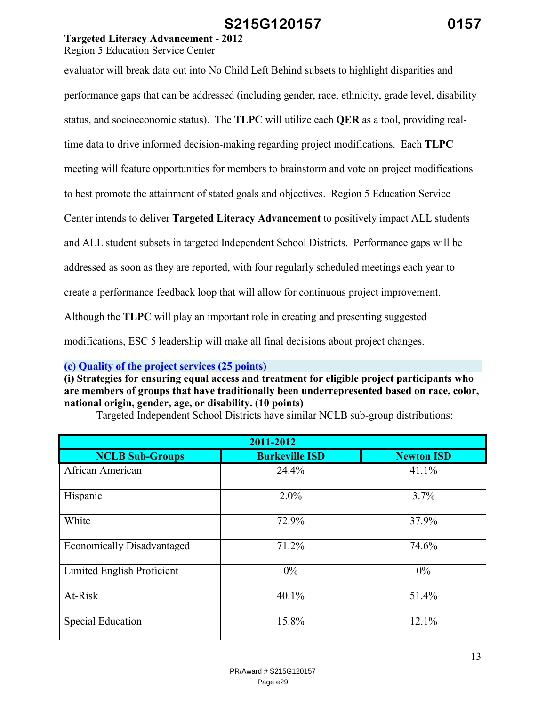# **Targeted Literacy Advancement - 2012**

Region 5 Education Service Center

| evaluator will break data out into No Child Left Behind subsets to highlight disparities and       |
|----------------------------------------------------------------------------------------------------|
| performance gaps that can be addressed (including gender, race, ethnicity, grade level, disability |
| status, and socioeconomic status). The TLPC will utilize each QER as a tool, providing real-       |
| time data to drive informed decision-making regarding project modifications. Each TLPC             |
| meeting will feature opportunities for members to brainstorm and vote on project modifications     |
| to best promote the attainment of stated goals and objectives. Region 5 Education Service          |
| Center intends to deliver Targeted Literacy Advancement to positively impact ALL students          |
|                                                                                                    |
| and ALL student subsets in targeted Independent School Districts. Performance gaps will be         |
| addressed as soon as they are reported, with four regularly scheduled meetings each year to        |
| create a performance feedback loop that will allow for continuous project improvement.             |
| Although the TLPC will play an important role in creating and presenting suggested                 |
| modifications, ESC 5 leadership will make all final decisions about project changes.               |

**(c) Quality of the project services (25 points)** 

**(i) Strategies for ensuring equal access and treatment for eligible project participants who are members of groups that have traditionally been underrepresented based on race, color, national origin, gender, age, or disability. (10 points)** 

| 2011-2012                         |                       |                   |  |  |
|-----------------------------------|-----------------------|-------------------|--|--|
| <b>NCLB Sub-Groups</b>            | <b>Burkeville ISD</b> | <b>Newton ISD</b> |  |  |
| African American                  | 24.4%                 | 41.1%             |  |  |
| Hispanic                          | 2.0%                  | 3.7%              |  |  |
| White                             | 72.9%                 | 37.9%             |  |  |
| <b>Economically Disadvantaged</b> | 71.2%                 | 74.6%             |  |  |
| Limited English Proficient        | $0\%$                 | $0\%$             |  |  |
| At-Risk                           | 40.1%                 | 51.4%             |  |  |
| <b>Special Education</b>          | 15.8%                 | 12.1%             |  |  |

Targeted Independent School Districts have similar NCLB sub-group distributions: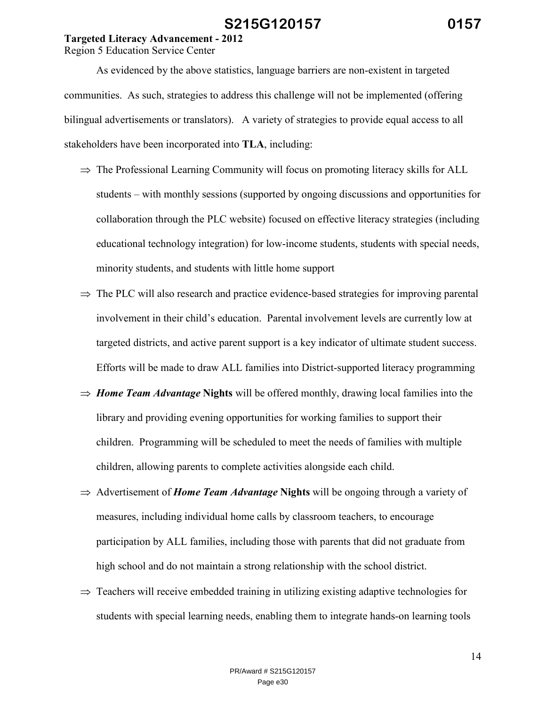## **Targeted Literacy Advancement - 2012**

Region 5 Education Service Center

 As evidenced by the above statistics, language barriers are non-existent in targeted communities. As such, strategies to address this challenge will not be implemented (offering bilingual advertisements or translators). A variety of strategies to provide equal access to all stakeholders have been incorporated into **TLA**, including:

- $\Rightarrow$  The Professional Learning Community will focus on promoting literacy skills for ALL students – with monthly sessions (supported by ongoing discussions and opportunities for collaboration through the PLC website) focused on effective literacy strategies (including educational technology integration) for low-income students, students with special needs, minority students, and students with little home support
- $\Rightarrow$  The PLC will also research and practice evidence-based strategies for improving parental involvement in their child's education. Parental involvement levels are currently low at targeted districts, and active parent support is a key indicator of ultimate student success. Efforts will be made to draw ALL families into District-supported literacy programming
- ⇒ *Home Team Advantage* **Nights** will be offered monthly, drawing local families into the library and providing evening opportunities for working families to support their children. Programming will be scheduled to meet the needs of families with multiple children, allowing parents to complete activities alongside each child.
- ⇒ Advertisement of *Home Team Advantage* **Nights** will be ongoing through a variety of measures, including individual home calls by classroom teachers, to encourage participation by ALL families, including those with parents that did not graduate from high school and do not maintain a strong relationship with the school district.
- $\Rightarrow$  Teachers will receive embedded training in utilizing existing adaptive technologies for students with special learning needs, enabling them to integrate hands-on learning tools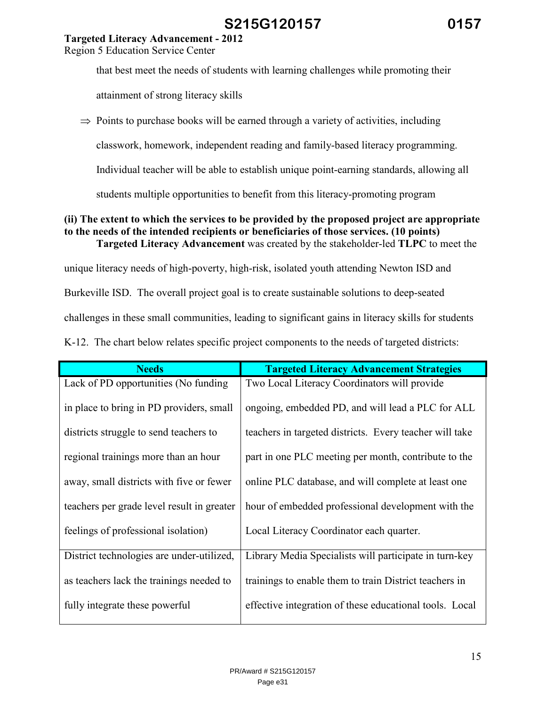# **Targeted Literacy Advancement - 2012**

Region 5 Education Service Center

that best meet the needs of students with learning challenges while promoting their

attainment of strong literacy skills

 $\Rightarrow$  Points to purchase books will be earned through a variety of activities, including

classwork, homework, independent reading and family-based literacy programming.

Individual teacher will be able to establish unique point-earning standards, allowing all

students multiple opportunities to benefit from this literacy-promoting program

#### **(ii) The extent to which the services to be provided by the proposed project are appropriate to the needs of the intended recipients or beneficiaries of those services. (10 points) Targeted Literacy Advancement** was created by the stakeholder-led **TLPC** to meet the

unique literacy needs of high-poverty, high-risk, isolated youth attending Newton ISD and Burkeville ISD. The overall project goal is to create sustainable solutions to deep-seated challenges in these small communities, leading to significant gains in literacy skills for students

|  |  | K-12. The chart below relates specific project components to the needs of targeted districts: |  |  |
|--|--|-----------------------------------------------------------------------------------------------|--|--|
|  |  |                                                                                               |  |  |

| <b>Needs</b>                               | <b>Targeted Literacy Advancement Strategies</b>         |
|--------------------------------------------|---------------------------------------------------------|
| Lack of PD opportunities (No funding       | Two Local Literacy Coordinators will provide            |
| in place to bring in PD providers, small   | ongoing, embedded PD, and will lead a PLC for ALL       |
| districts struggle to send teachers to     | teachers in targeted districts. Every teacher will take |
| regional trainings more than an hour       | part in one PLC meeting per month, contribute to the    |
| away, small districts with five or fewer   | online PLC database, and will complete at least one     |
| teachers per grade level result in greater | hour of embedded professional development with the      |
| feelings of professional isolation)        | Local Literacy Coordinator each quarter.                |
| District technologies are under-utilized,  | Library Media Specialists will participate in turn-key  |
| as teachers lack the trainings needed to   | trainings to enable them to train District teachers in  |
| fully integrate these powerful             | effective integration of these educational tools. Local |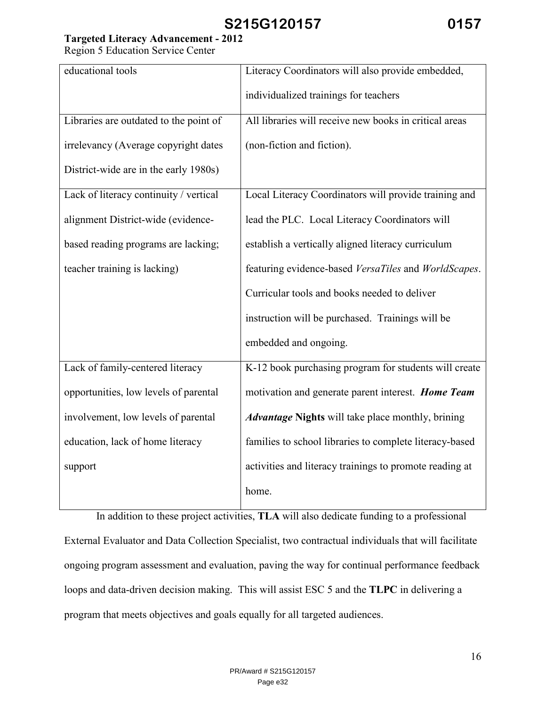# **Targeted Literacy Advancement - 2012**

Region 5 Education Service Center

| educational tools                      | Literacy Coordinators will also provide embedded,        |
|----------------------------------------|----------------------------------------------------------|
|                                        | individualized trainings for teachers                    |
| Libraries are outdated to the point of | All libraries will receive new books in critical areas   |
| irrelevancy (Average copyright dates   | (non-fiction and fiction).                               |
| District-wide are in the early 1980s)  |                                                          |
| Lack of literacy continuity / vertical | Local Literacy Coordinators will provide training and    |
| alignment District-wide (evidence-     | lead the PLC. Local Literacy Coordinators will           |
| based reading programs are lacking;    | establish a vertically aligned literacy curriculum       |
| teacher training is lacking)           | featuring evidence-based VersaTiles and WorldScapes.     |
|                                        | Curricular tools and books needed to deliver             |
|                                        | instruction will be purchased. Trainings will be         |
|                                        | embedded and ongoing.                                    |
| Lack of family-centered literacy       | K-12 book purchasing program for students will create    |
| opportunities, low levels of parental  | motivation and generate parent interest. Home Team       |
| involvement, low levels of parental    | <b>Advantage Nights</b> will take place monthly, brining |
| education, lack of home literacy       | families to school libraries to complete literacy-based  |
| support                                | activities and literacy trainings to promote reading at  |
|                                        | home.                                                    |

 In addition to these project activities, **TLA** will also dedicate funding to a professional External Evaluator and Data Collection Specialist, two contractual individuals that will facilitate ongoing program assessment and evaluation, paving the way for continual performance feedback loops and data-driven decision making. This will assist ESC 5 and the **TLPC** in delivering a program that meets objectives and goals equally for all targeted audiences.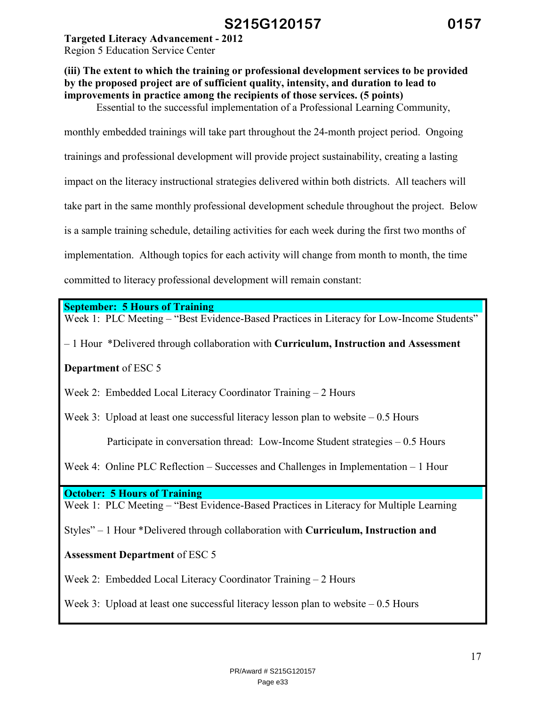**Targeted Literacy Advancement - 2012** 

Region 5 Education Service Center

# **(iii) The extent to which the training or professional development services to be provided by the proposed project are of sufficient quality, intensity, and duration to lead to improvements in practice among the recipients of those services. (5 points)**

Essential to the successful implementation of a Professional Learning Community,

monthly embedded trainings will take part throughout the 24-month project period. Ongoing

trainings and professional development will provide project sustainability, creating a lasting

impact on the literacy instructional strategies delivered within both districts. All teachers will

take part in the same monthly professional development schedule throughout the project. Below

is a sample training schedule, detailing activities for each week during the first two months of

implementation. Although topics for each activity will change from month to month, the time

committed to literacy professional development will remain constant:

**September: 5 Hours of Training** 

Week 1: PLC Meeting – "Best Evidence-Based Practices in Literacy for Low-Income Students"

– 1 Hour \*Delivered through collaboration with **Curriculum, Instruction and Assessment** 

**Department** of ESC 5

Week 2: Embedded Local Literacy Coordinator Training – 2 Hours

Week 3: Upload at least one successful literacy lesson plan to website  $-0.5$  Hours

Participate in conversation thread: Low-Income Student strategies – 0.5 Hours

Week 4: Online PLC Reflection – Successes and Challenges in Implementation – 1 Hour

**October: 5 Hours of Training** 

Week 1: PLC Meeting – "Best Evidence-Based Practices in Literacy for Multiple Learning

Styles" – 1 Hour \*Delivered through collaboration with **Curriculum, Instruction and** 

# **Assessment Department** of ESC 5

Week 2: Embedded Local Literacy Coordinator Training – 2 Hours

Week 3: Upload at least one successful literacy lesson plan to website  $-0.5$  Hours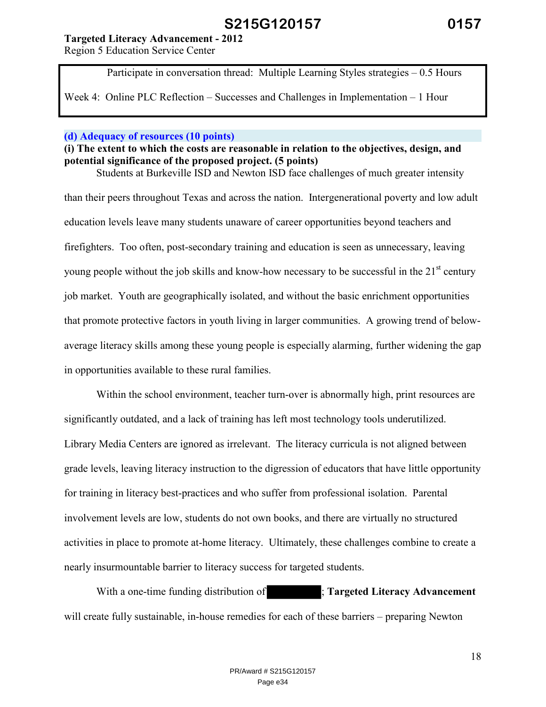### **Targeted Literacy Advancement - 2012**

Region 5 Education Service Center

Participate in conversation thread: Multiple Learning Styles strategies – 0.5 Hours

Week 4: Online PLC Reflection – Successes and Challenges in Implementation – 1 Hour

#### **(d) Adequacy of resources (10 points)**

#### **(i) The extent to which the costs are reasonable in relation to the objectives, design, and potential significance of the proposed project. (5 points)**  Students at Burkeville ISD and Newton ISD face challenges of much greater intensity

than their peers throughout Texas and across the nation. Intergenerational poverty and low adult education levels leave many students unaware of career opportunities beyond teachers and firefighters. Too often, post-secondary training and education is seen as unnecessary, leaving young people without the job skills and know-how necessary to be successful in the  $21<sup>st</sup>$  century job market. Youth are geographically isolated, and without the basic enrichment opportunities that promote protective factors in youth living in larger communities. A growing trend of belowaverage literacy skills among these young people is especially alarming, further widening the gap in opportunities available to these rural families.

Within the school environment, teacher turn-over is abnormally high, print resources are significantly outdated, and a lack of training has left most technology tools underutilized. Library Media Centers are ignored as irrelevant. The literacy curricula is not aligned between grade levels, leaving literacy instruction to the digression of educators that have little opportunity for training in literacy best-practices and who suffer from professional isolation. Parental involvement levels are low, students do not own books, and there are virtually no structured activities in place to promote at-home literacy. Ultimately, these challenges combine to create a nearly insurmountable barrier to literacy success for targeted students.

 With a one-time funding distribution of ; **Targeted Literacy Advancement**  will create fully sustainable, in-house remedies for each of these barriers – preparing Newton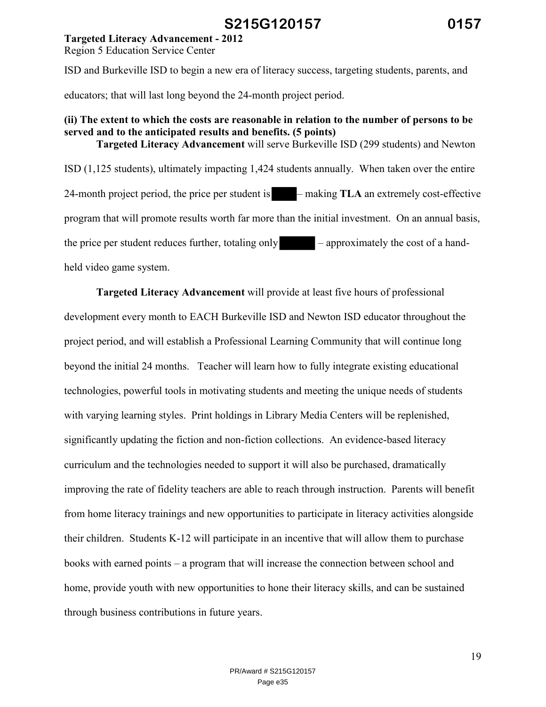### **Targeted Literacy Advancement - 2012**

Region 5 Education Service Center

ISD and Burkeville ISD to begin a new era of literacy success, targeting students, parents, and

educators; that will last long beyond the 24-month project period.

### **(ii) The extent to which the costs are reasonable in relation to the number of persons to be served and to the anticipated results and benefits. (5 points) Targeted Literacy Advancement** will serve Burkeville ISD (299 students) and Newton

ISD (1,125 students), ultimately impacting 1,424 students annually. When taken over the entire 24-month project period, the price per student is – making **TLA** an extremely cost-effective program that will promote results worth far more than the initial investment. On an annual basis, the price per student reduces further, totaling only – approximately the cost of a handheld video game system.

**Targeted Literacy Advancement** will provide at least five hours of professional development every month to EACH Burkeville ISD and Newton ISD educator throughout the project period, and will establish a Professional Learning Community that will continue long beyond the initial 24 months. Teacher will learn how to fully integrate existing educational technologies, powerful tools in motivating students and meeting the unique needs of students with varying learning styles. Print holdings in Library Media Centers will be replenished, significantly updating the fiction and non-fiction collections. An evidence-based literacy curriculum and the technologies needed to support it will also be purchased, dramatically improving the rate of fidelity teachers are able to reach through instruction. Parents will benefit from home literacy trainings and new opportunities to participate in literacy activities alongside their children. Students K-12 will participate in an incentive that will allow them to purchase books with earned points – a program that will increase the connection between school and home, provide youth with new opportunities to hone their literacy skills, and can be sustained through business contributions in future years.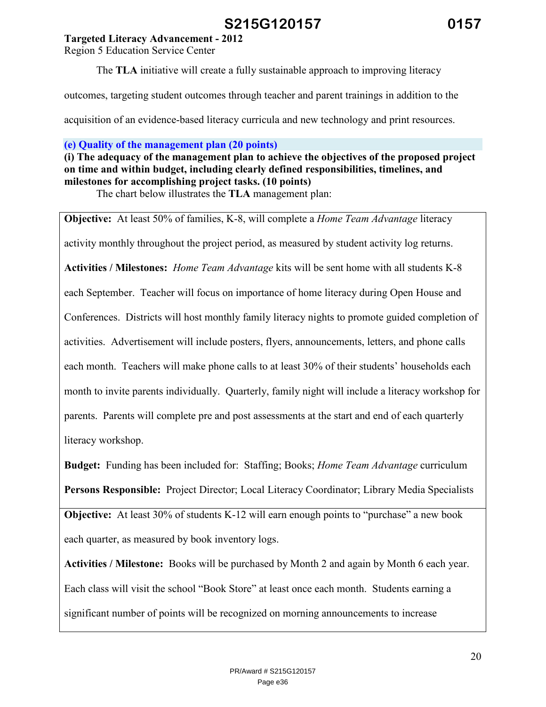### **Targeted Literacy Advancement - 2012**

Region 5 Education Service Center

The **TLA** initiative will create a fully sustainable approach to improving literacy

outcomes, targeting student outcomes through teacher and parent trainings in addition to the

acquisition of an evidence-based literacy curricula and new technology and print resources.

**(e) Quality of the management plan (20 points)** 

**(i) The adequacy of the management plan to achieve the objectives of the proposed project on time and within budget, including clearly defined responsibilities, timelines, and milestones for accomplishing project tasks. (10 points)** 

The chart below illustrates the **TLA** management plan:

**Objective:** At least 50% of families, K-8, will complete a *Home Team Advantage* literacy activity monthly throughout the project period, as measured by student activity log returns. **Activities / Milestones:** *Home Team Advantage* kits will be sent home with all students K-8 each September. Teacher will focus on importance of home literacy during Open House and Conferences. Districts will host monthly family literacy nights to promote guided completion of activities. Advertisement will include posters, flyers, announcements, letters, and phone calls each month. Teachers will make phone calls to at least 30% of their students' households each month to invite parents individually. Quarterly, family night will include a literacy workshop for parents. Parents will complete pre and post assessments at the start and end of each quarterly literacy workshop.

**Budget:** Funding has been included for: Staffing; Books; *Home Team Advantage* curriculum **Persons Responsible:** Project Director; Local Literacy Coordinator; Library Media Specialists

**Objective:** At least 30% of students K-12 will earn enough points to "purchase" a new book each quarter, as measured by book inventory logs.

**Activities / Milestone:** Books will be purchased by Month 2 and again by Month 6 each year. Each class will visit the school "Book Store" at least once each month. Students earning a significant number of points will be recognized on morning announcements to increase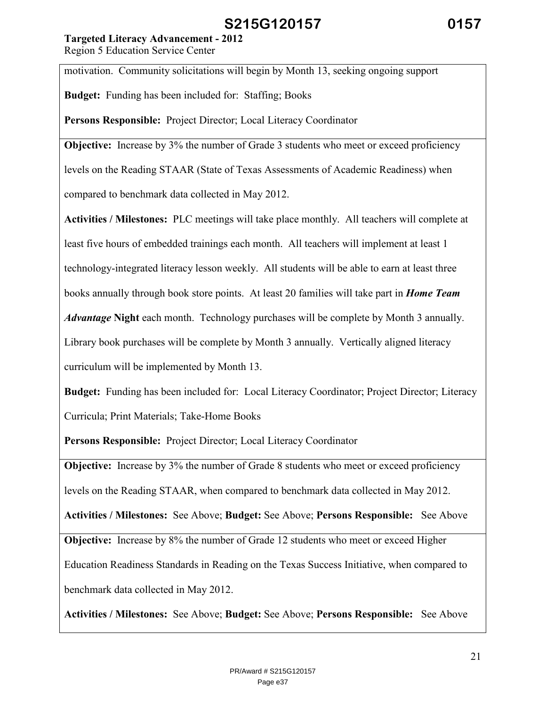## **Targeted Literacy Advancement - 2012**

Region 5 Education Service Center

motivation. Community solicitations will begin by Month 13, seeking ongoing support

**Budget:** Funding has been included for: Staffing; Books

**Persons Responsible:** Project Director; Local Literacy Coordinator

**Objective:** Increase by 3% the number of Grade 3 students who meet or exceed proficiency

levels on the Reading STAAR (State of Texas Assessments of Academic Readiness) when

compared to benchmark data collected in May 2012.

**Activities / Milestones:** PLC meetings will take place monthly. All teachers will complete at least five hours of embedded trainings each month. All teachers will implement at least 1 technology-integrated literacy lesson weekly. All students will be able to earn at least three books annually through book store points. At least 20 families will take part in *Home Team Advantage* **Night** each month. Technology purchases will be complete by Month 3 annually. Library book purchases will be complete by Month 3 annually. Vertically aligned literacy

curriculum will be implemented by Month 13.

**Budget:** Funding has been included for: Local Literacy Coordinator; Project Director; Literacy Curricula; Print Materials; Take-Home Books

**Persons Responsible:** Project Director; Local Literacy Coordinator

**Objective:** Increase by 3% the number of Grade 8 students who meet or exceed proficiency levels on the Reading STAAR, when compared to benchmark data collected in May 2012.

**Activities / Milestones:** See Above; **Budget:** See Above; **Persons Responsible:** See Above

**Objective:** Increase by 8% the number of Grade 12 students who meet or exceed Higher Education Readiness Standards in Reading on the Texas Success Initiative, when compared to benchmark data collected in May 2012.

**Activities / Milestones:** See Above; **Budget:** See Above; **Persons Responsible:** See Above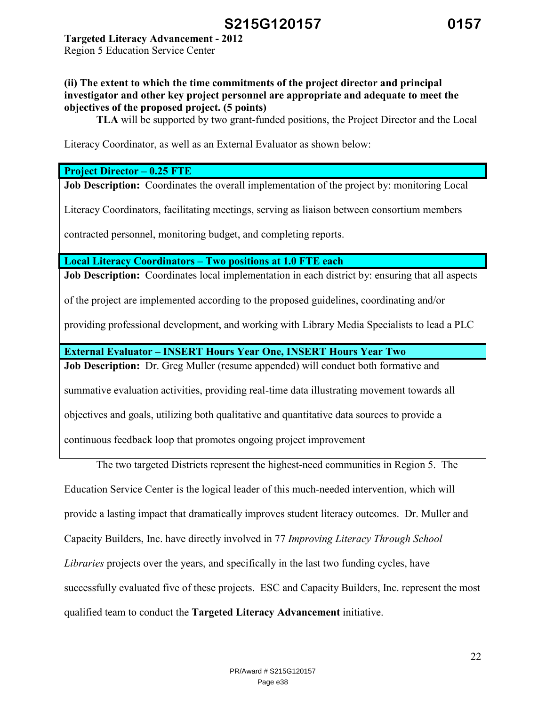# **Targeted Literacy Advancement - 2012**

Region 5 Education Service Center

### **(ii) The extent to which the time commitments of the project director and principal investigator and other key project personnel are appropriate and adequate to meet the objectives of the proposed project. (5 points)**

 **TLA** will be supported by two grant-funded positions, the Project Director and the Local

Literacy Coordinator, as well as an External Evaluator as shown below:

### **Project Director – 0.25 FTE**

**Job Description:** Coordinates the overall implementation of the project by: monitoring Local

Literacy Coordinators, facilitating meetings, serving as liaison between consortium members

contracted personnel, monitoring budget, and completing reports.

**Local Literacy Coordinators – Two positions at 1.0 FTE each** 

**Job Description:** Coordinates local implementation in each district by: ensuring that all aspects

of the project are implemented according to the proposed guidelines, coordinating and/or

providing professional development, and working with Library Media Specialists to lead a PLC

**External Evaluator – INSERT Hours Year One, INSERT Hours Year Two** 

**Job Description:** Dr. Greg Muller (resume appended) will conduct both formative and

summative evaluation activities, providing real-time data illustrating movement towards all

objectives and goals, utilizing both qualitative and quantitative data sources to provide a

continuous feedback loop that promotes ongoing project improvement

The two targeted Districts represent the highest-need communities in Region 5. The Education Service Center is the logical leader of this much-needed intervention, which will provide a lasting impact that dramatically improves student literacy outcomes. Dr. Muller and Capacity Builders, Inc. have directly involved in 77 *Improving Literacy Through School Libraries* projects over the years, and specifically in the last two funding cycles, have successfully evaluated five of these projects. ESC and Capacity Builders, Inc. represent the most qualified team to conduct the **Targeted Literacy Advancement** initiative.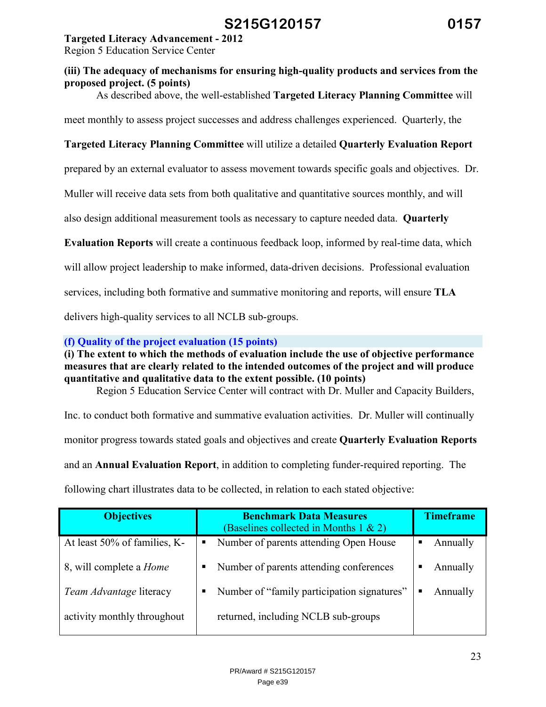## **Targeted Literacy Advancement - 2012**

Region 5 Education Service Center

## **(iii) The adequacy of mechanisms for ensuring high-quality products and services from the proposed project. (5 points)**

As described above, the well-established **Targeted Literacy Planning Committee** will

meet monthly to assess project successes and address challenges experienced. Quarterly, the

# **Targeted Literacy Planning Committee** will utilize a detailed **Quarterly Evaluation Report**

prepared by an external evaluator to assess movement towards specific goals and objectives. Dr.

Muller will receive data sets from both qualitative and quantitative sources monthly, and will

also design additional measurement tools as necessary to capture needed data. **Quarterly** 

**Evaluation Reports** will create a continuous feedback loop, informed by real-time data, which

will allow project leadership to make informed, data-driven decisions. Professional evaluation

services, including both formative and summative monitoring and reports, will ensure **TLA** 

delivers high-quality services to all NCLB sub-groups.

**(f) Quality of the project evaluation (15 points)** 

**(i) The extent to which the methods of evaluation include the use of objective performance measures that are clearly related to the intended outcomes of the project and will produce quantitative and qualitative data to the extent possible. (10 points)** 

Region 5 Education Service Center will contract with Dr. Muller and Capacity Builders,

Inc. to conduct both formative and summative evaluation activities. Dr. Muller will continually

monitor progress towards stated goals and objectives and create **Quarterly Evaluation Reports** 

and an **Annual Evaluation Report**, in addition to completing funder-required reporting. The

following chart illustrates data to be collected, in relation to each stated objective:

| <b>Objectives</b>              | <b>Benchmark Data Measures</b><br>(Baselines collected in Months $1 \& 2$ ) | <b>Timeframe</b> |
|--------------------------------|-----------------------------------------------------------------------------|------------------|
| At least 50% of families, K-   | Number of parents attending Open House<br>п                                 | Annually         |
| 8, will complete a <i>Home</i> | Number of parents attending conferences<br>п                                | Annually<br>п    |
| <i>Team Advantage literacy</i> | Number of "family participation signatures"<br>п                            | Annually<br>■    |
| activity monthly throughout    | returned, including NCLB sub-groups                                         |                  |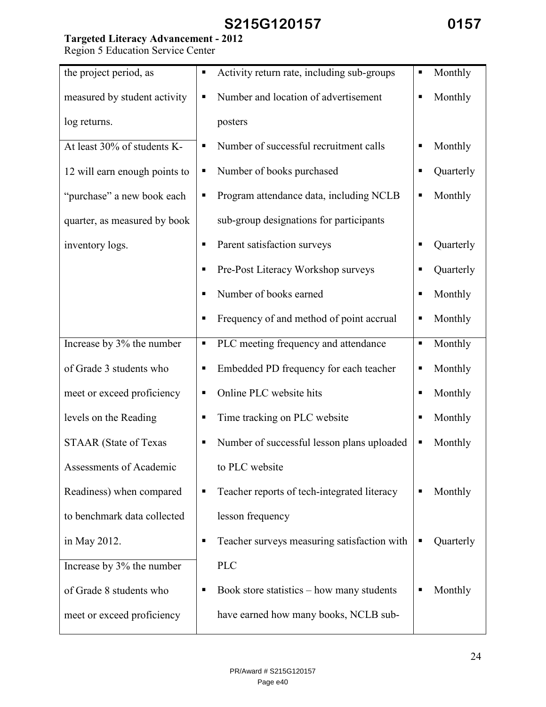# **Targeted Literacy Advancement - 2012**

Region 5 Education Service Center

| the project period, as        | п | Activity return rate, including sub-groups  | п | Monthly   |
|-------------------------------|---|---------------------------------------------|---|-----------|
| measured by student activity  | п | Number and location of advertisement        |   | Monthly   |
| log returns.                  |   | posters                                     |   |           |
| At least 30% of students K-   | Е | Number of successful recruitment calls      |   | Monthly   |
| 12 will earn enough points to | Е | Number of books purchased                   | п | Quarterly |
| "purchase" a new book each    | Е | Program attendance data, including NCLB     | п | Monthly   |
| quarter, as measured by book  |   | sub-group designations for participants     |   |           |
| inventory logs.               | п | Parent satisfaction surveys                 | п | Quarterly |
|                               | Е | Pre-Post Literacy Workshop surveys          |   | Quarterly |
|                               | п | Number of books earned                      | п | Monthly   |
|                               | п | Frequency of and method of point accrual    | Е | Monthly   |
| Increase by 3% the number     | п | PLC meeting frequency and attendance        | п | Monthly   |
| of Grade 3 students who       | п | Embedded PD frequency for each teacher      | п | Monthly   |
| meet or exceed proficiency    | п | Online PLC website hits                     | п | Monthly   |
| levels on the Reading         | Е | Time tracking on PLC website                | Е | Monthly   |
| <b>STAAR</b> (State of Texas  | п | Number of successful lesson plans uploaded  | п | Monthly   |
| Assessments of Academic       |   | to PLC website                              |   |           |
| Readiness) when compared      | п | Teacher reports of tech-integrated literacy |   | Monthly   |
| to benchmark data collected   |   | lesson frequency                            |   |           |
| in May 2012.                  | п | Teacher surveys measuring satisfaction with | п | Quarterly |
| Increase by 3% the number     |   | <b>PLC</b>                                  |   |           |
| of Grade 8 students who       | п | Book store statistics $-$ how many students |   | Monthly   |
| meet or exceed proficiency    |   | have earned how many books, NCLB sub-       |   |           |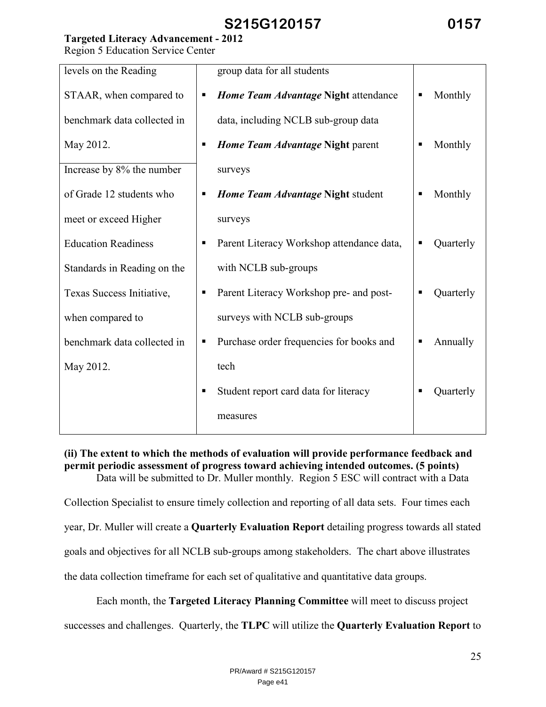# **Targeted Literacy Advancement - 2012**

Region 5 Education Service Center

| levels on the Reading       | group data for all students                    |                           |
|-----------------------------|------------------------------------------------|---------------------------|
| STAAR, when compared to     | Home Team Advantage Night attendance<br>п      | Monthly<br>$\blacksquare$ |
| benchmark data collected in | data, including NCLB sub-group data            |                           |
| May 2012.                   | Home Team Advantage Night parent<br>п          | Monthly<br>п              |
| Increase by 8% the number   | surveys                                        |                           |
| of Grade 12 students who    | Home Team Advantage Night student<br>п         | Monthly<br>п              |
| meet or exceed Higher       | surveys                                        |                           |
| <b>Education Readiness</b>  | Parent Literacy Workshop attendance data,<br>п | Quarterly<br>п            |
| Standards in Reading on the | with NCLB sub-groups                           |                           |
| Texas Success Initiative,   | Parent Literacy Workshop pre- and post-<br>п   | Quarterly                 |
| when compared to            | surveys with NCLB sub-groups                   |                           |
| benchmark data collected in | Purchase order frequencies for books and<br>п  | Annually<br>п             |
| May 2012.                   | tech                                           |                           |
|                             | Student report card data for literacy          | Quarterly                 |
|                             | measures                                       |                           |
|                             |                                                |                           |

### **(ii) The extent to which the methods of evaluation will provide performance feedback and permit periodic assessment of progress toward achieving intended outcomes. (5 points)**  Data will be submitted to Dr. Muller monthly. Region 5 ESC will contract with a Data

Collection Specialist to ensure timely collection and reporting of all data sets. Four times each year, Dr. Muller will create a **Quarterly Evaluation Report** detailing progress towards all stated goals and objectives for all NCLB sub-groups among stakeholders. The chart above illustrates the data collection timeframe for each set of qualitative and quantitative data groups.

Each month, the **Targeted Literacy Planning Committee** will meet to discuss project

successes and challenges. Quarterly, the **TLPC** will utilize the **Quarterly Evaluation Report** to